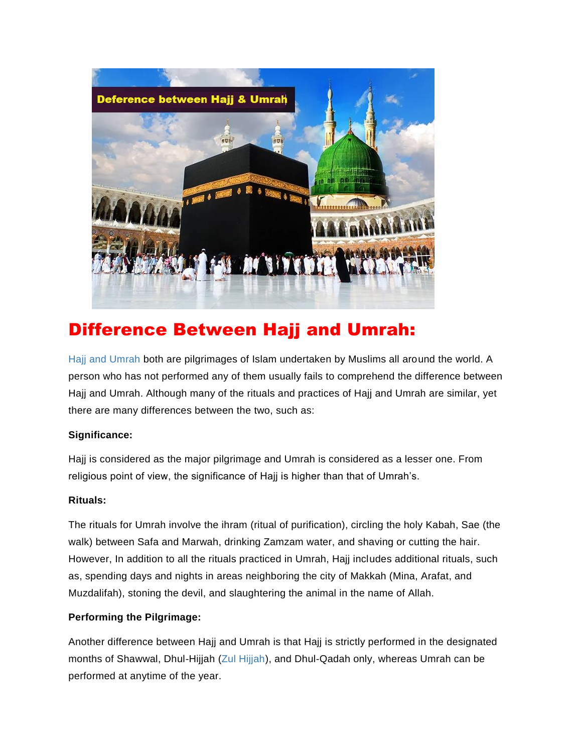

# Difference Between Hajj and Umrah:

[Hajj and Umrah](http://www.dawntravels.com/) both are pilgrimages of Islam undertaken by Muslims all around the world. A person who has not performed any of them usually fails to comprehend the difference between Hajj and Umrah. Although many of the rituals and practices of Hajj and Umrah are similar, yet there are many differences between the two, such as:

### **Significance:**

Hajj is considered as the major pilgrimage and Umrah is considered as a lesser one. From religious point of view, the significance of Hajj is higher than that of Umrah's.

#### **Rituals:**

The rituals for Umrah involve the ihram (ritual of purification), circling the holy Kabah, Sae (the walk) between Safa and Marwah, drinking Zamzam water, and shaving or cutting the hair. However, In addition to all the rituals practiced in Umrah, Hajj includes additional rituals, such as, spending days and nights in areas neighboring the city of Makkah (Mina, Arafat, and Muzdalifah), stoning the devil, and slaughtering the animal in the name of Allah.

### **Performing the Pilgrimage:**

Another difference between Hajj and Umrah is that Hajj is strictly performed in the designated months of Shawwal, Dhul-Hijjah [\(Zul Hijjah\)](http://dawntravels.com/blog/importance-zul-hijjah-practices-sunnah-2/), and Dhul-Qadah only, whereas Umrah can be performed at anytime of the year.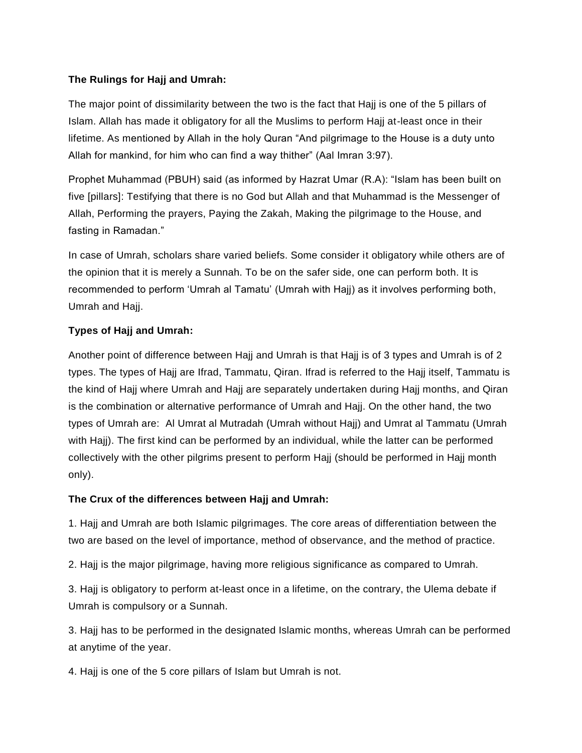### **The Rulings for Hajj and Umrah:**

The major point of dissimilarity between the two is the fact that Hajj is one of the 5 pillars of Islam. Allah has made it obligatory for all the Muslims to perform Hajj at-least once in their lifetime. As mentioned by Allah in the holy Quran "And pilgrimage to the House is a duty unto Allah for mankind, for him who can find a way thither" (Aal Imran 3:97).

Prophet Muhammad (PBUH) said (as informed by Hazrat Umar (R.A): "Islam has been built on five [pillars]: Testifying that there is no God but Allah and that Muhammad is the Messenger of Allah, Performing the prayers, Paying the Zakah, Making the pilgrimage to the House, and fasting in Ramadan."

In case of Umrah, scholars share varied beliefs. Some consider it obligatory while others are of the opinion that it is merely a Sunnah. To be on the safer side, one can perform both. It is recommended to perform 'Umrah al Tamatu' (Umrah with Hajj) as it involves performing both, Umrah and Hajj.

## **Types of Hajj and Umrah:**

Another point of difference between Hajj and Umrah is that Hajj is of 3 types and Umrah is of 2 types. The types of Hajj are Ifrad, Tammatu, Qiran. Ifrad is referred to the Hajj itself, Tammatu is the kind of Hajj where Umrah and Hajj are separately undertaken during Hajj months, and Qiran is the combination or alternative performance of Umrah and Hajj. On the other hand, the two types of Umrah are: Al Umrat al Mutradah (Umrah without Hajj) and Umrat al Tammatu (Umrah with Hajj). The first kind can be performed by an individual, while the latter can be performed collectively with the other pilgrims present to perform Hajj (should be performed in Hajj month only).

### **The Crux of the differences between Hajj and Umrah:**

1. Hajj and Umrah are both Islamic pilgrimages. The core areas of differentiation between the two are based on the level of importance, method of observance, and the method of practice.

2. Hajj is the major pilgrimage, having more religious significance as compared to Umrah.

3. Hajj is obligatory to perform at-least once in a lifetime, on the contrary, the Ulema debate if Umrah is compulsory or a Sunnah.

3. Hajj has to be performed in the designated Islamic months, whereas Umrah can be performed at anytime of the year.

4. Hajj is one of the 5 core pillars of Islam but Umrah is not.